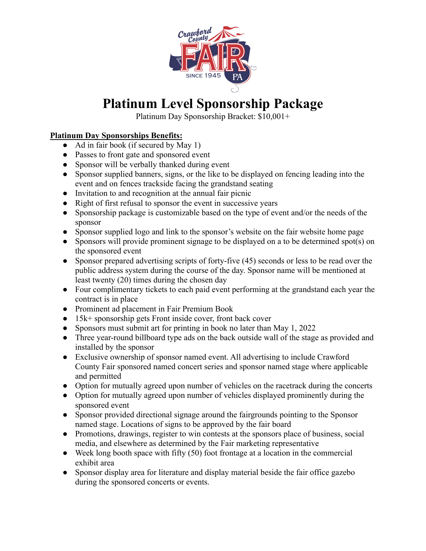

## **Platinum Level Sponsorship Package**

Platinum Day Sponsorship Bracket: \$10,001+

## **Platinum Day Sponsorships Benefits:**

- Ad in fair book (if secured by May 1)
- Passes to front gate and sponsored event
- Sponsor will be verbally thanked during event
- Sponsor supplied banners, signs, or the like to be displayed on fencing leading into the event and on fences trackside facing the grandstand seating
- Invitation to and recognition at the annual fair picnic
- Right of first refusal to sponsor the event in successive years
- Sponsorship package is customizable based on the type of event and/or the needs of the sponsor
- Sponsor supplied logo and link to the sponsor's website on the fair website home page
- Sponsors will provide prominent signage to be displayed on a to be determined spot(s) on the sponsored event
- Sponsor prepared advertising scripts of forty-five (45) seconds or less to be read over the public address system during the course of the day. Sponsor name will be mentioned at least twenty (20) times during the chosen day
- Four complimentary tickets to each paid event performing at the grandstand each year the contract is in place
- Prominent ad placement in Fair Premium Book
- 15k+ sponsorship gets Front inside cover, front back cover
- Sponsors must submit art for printing in book no later than May 1, 2022
- Three year-round billboard type ads on the back outside wall of the stage as provided and installed by the sponsor
- Exclusive ownership of sponsor named event. All advertising to include Crawford County Fair sponsored named concert series and sponsor named stage where applicable and permitted
- Option for mutually agreed upon number of vehicles on the racetrack during the concerts
- Option for mutually agreed upon number of vehicles displayed prominently during the sponsored event
- Sponsor provided directional signage around the fairgrounds pointing to the Sponsor named stage. Locations of signs to be approved by the fair board
- Promotions, drawings, register to win contests at the sponsors place of business, social media, and elsewhere as determined by the Fair marketing representative
- $\bullet$  Week long booth space with fifty (50) foot frontage at a location in the commercial exhibit area
- Sponsor display area for literature and display material beside the fair office gazebo during the sponsored concerts or events.